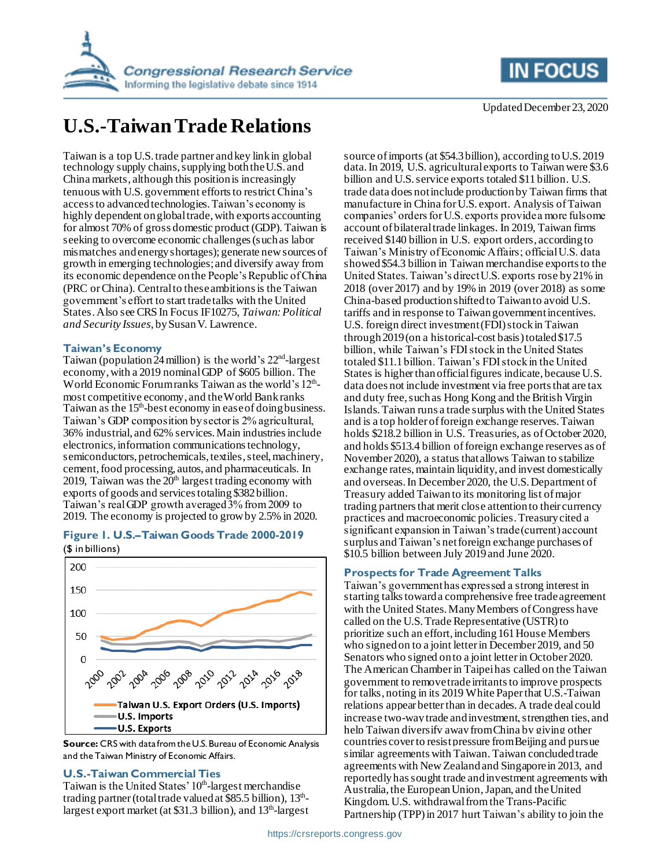



# **U.S.-Taiwan Trade Relations**

Taiwan is a top U.S. trade partner and key link in global technology supply chains, supplying both the U.S. and China markets, although this position is increasingly tenuous with U.S. government efforts to restrict China's access to advanced technologies. Taiwan's economy is highly dependent on global trade, with exports accounting for almost 70% of gross domestic product (GDP). Taiwan is seeking to overcome economic challenges (such as labor mismatches and energy shortages); generate new sources of growth in emerging technologies; and diversify away from its economic dependence on the People's Republic of China (PRC or China). Central to these ambitions is the Taiwan government's effort to start trade talks with the United States.Also see CRS In Focus IF10275, *Taiwan: Political and Security Issues*, by Susan V. Lawrence.

# **Taiwan's Economy**

Taiwan (population  $24$  million) is the world's  $22<sup>nd</sup>$ -largest economy, with a 2019 nominal GDP of \$605 billion. The World Economic Forum ranks Taiwan as the world's 12<sup>th</sup>most competitive economy, and the World Bank ranks Taiwan as the 15<sup>th</sup>-best economy in ease of doing business. Taiwan's GDP composition by sector is 2% agricultural, 36% industrial, and 62% services. Main industries include electronics, information communications technology, semiconductors, petrochemicals, textiles, steel, machinery, cement, food processing, autos, and pharmaceuticals. In 2019, Taiwan was the  $20<sup>th</sup>$  largest trading economy with exports of goods and services totaling \$382billion. Taiwan's real GDP growth averaged 3% from 2009 to 2019. The economy is projected to grow by 2.5% in 2020.

# **Figure 1. U.S.–Taiwan Goods Trade 2000-2019**

(\$ in billions)



**Source:** CRS with data from the U.S. Bureau of Economic Analysis and the Taiwan Ministry of Economic Affairs.

# **U.S.-Taiwan Commercial Ties**

Taiwan is the United States' 10<sup>th</sup>-largest merchandise trading partner (total trade valued at \$85.5 billion), 13<sup>th</sup>largest export market (at \$31.3 billion), and 13<sup>th</sup>-largest

source of imports (at \$54.3billion), according to U.S. 2019 data.In 2019, U.S. agricultural exports to Taiwan were \$3.6 billion and U.S. service exports totaled \$11 billion. U.S. trade data does not include production by Taiwan firms that manufacture in China for U.S. export. Analysis of Taiwan companies' orders for U.S. exports provide a more fulsome account of bilateral trade linkages. In 2019, Taiwan firms received \$140 billion in U.S. export orders, according to Taiwan's Ministry of Economic Affairs; official U.S. data showed \$54.3 billion in Taiwan merchandise exports to the United States. Taiwan's direct U.S. exports rose by 21% in 2018 (over 2017) and by 19% in 2019 (over 2018) as some China-based production shifted to Taiwan to avoid U.S. tariffs and in response to Taiwan government incentives. U.S. foreign direct investment (FDI) stock in Taiwan through 2019(on a historical-cost basis) totaled \$17.5 billion, while Taiwan's FDI stock in the United States totaled \$11.1billion. Taiwan's FDI stock in the United States is higher than official figures indicate, because U.S. data does not include investment via free ports that are tax and duty free, such as Hong Kong and the British Virgin Islands.Taiwan runs a trade surplus with the United States and is a top holder of foreign exchange reserves. Taiwan holds \$218.2 billion in U.S. Treasuries, as of October 2020, and holds \$513.4 billion of foreign exchange reserves as of November 2020), a status that allows Taiwan to stabilize exchange rates, maintain liquidity, and invest domestically and overseas.In December 2020, the U.S. Department of Treasury added Taiwan to its monitoring list of major trading partners that merit close attention to their currency practices and macroeconomic policies. Treasury cited a significant expansion in Taiwan's trade (current) account surplus and Taiwan's net foreign exchange purchases of \$10.5 billion between July 2019 and June 2020.

# **Prospects for Trade Agreement Talks**

Taiwan's government has expressed a strong interest in starting talks toward a comprehensive free trade agreement with the United States. Many Members of Congress have called on the U.S. Trade Representative (USTR) to prioritize such an effort, including 161 House Members who signed on to a joint letter in December 2019, and 50 Senators who signed on to a joint letter in October 2020. The American Chamber in Taipei has called on the Taiwan government to remove trade irritants to improve prospects for talks, noting in its 2019 White Paper that U.S.-Taiwan relations appear better than in decades. A trade deal could increase two-way trade and investment, strengthen ties, and help Taiwan diversify awayfrom China by giving other countries cover to resist pressure from Beijing and pursue similar agreements with Taiwan. Taiwan concluded trade agreements with New Zealand and Singapore in 2013, and reportedly has sought trade and investment agreements with Australia, the European Union, Japan, and the United Kingdom. U.S. withdrawal from the Trans-Pacific Partnership (TPP) in 2017 hurt Taiwan's ability to join the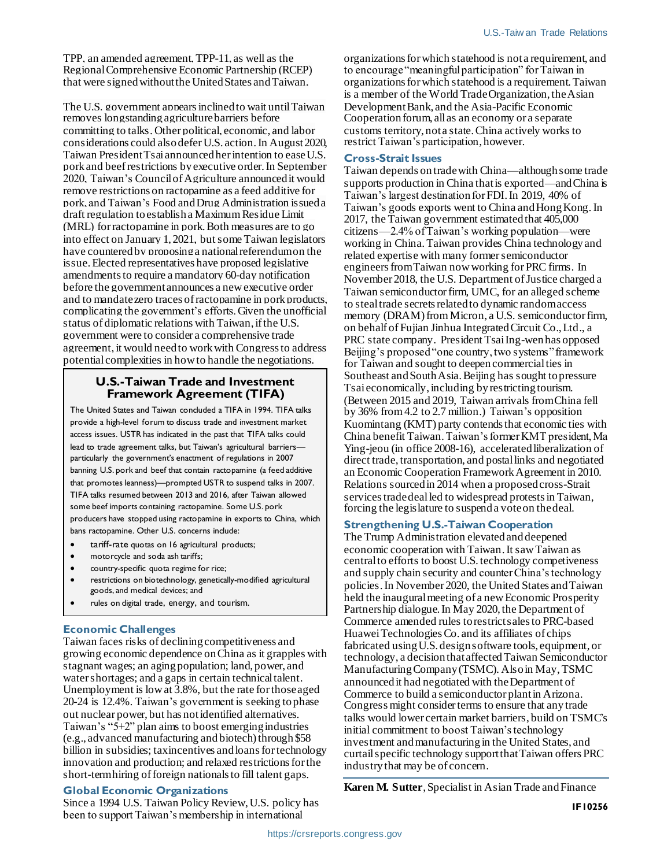TPP, an amended agreement, TPP-11, as well as the Regional Comprehensive Economic Partnership (RCEP) that were signed without the United States and Taiwan.

The U.S. government appears inclined to wait until Taiwan removes longstanding agriculture barriers before committing to talks. Other political, economic, and labor considerations could also defer U.S. action. In August 2020, Taiwan President Tsai announced her intention to ease U.S. pork and beefrestrictions by executive order. In September 2020, Taiwan's Council of Agriculture announced it would remove restrictions on ractopamine as a feed additive for pork, and Taiwan's Food and Drug Administration issued a draft regulation to establisha Maximum Residue Limit (MRL) for ractopamine in pork. Both measures are to go into effect on January 1, 2021, but some Taiwan legislators have counteredby proposing a national referendum on the issue. Elected representatives have proposed legislative amendments to require a mandatory 60-day notification before the government announces a new executive order and to mandate zero traces of ractopamine in pork products, complicating the government's efforts. Given the unofficial status of diplomatic relations with Taiwan, if the U.S. government were to consider a comprehensive trade agreement, it would need to work with Congress to address potential complexities in how to handle the negotiations.

### **U.S.-Taiwan Trade and Investment Framework Agreement (TIFA)**

The United States and Taiwan concluded a TIFA in 1994. TIFA talks provide a high-level forum to discuss trade and investment market access issues. USTR has indicated in the past that TIFA talks could lead to trade agreement talks, but Taiwan's agricultural barriers particularly the government's enactment of regulations in 2007 banning U.S. pork and beef that contain ractopamine (a feed additive that promotes leanness)—prompted USTR to suspend talks in 2007. TIFA talks resumed between 2013 and 2016, after Taiwan allowed some beef imports containing ractopamine. Some U.S. pork producers have stopped using ractopamine in exports to China, which bans ractopamine. Other U.S. concerns include:

- tariff-rate quotas on 16 agricultural products;
- motorcycle and soda ash tariffs;
- country-specific quota regime for rice;
- restrictions on biotechnology, genetically-modified agricultural goods, and medical devices; and
- rules on digital trade, energy, and tourism.

#### **Economic Challenges**

Taiwan faces risks of declining competitiveness and growing economic dependence on China as it grapples with stagnant wages; an aging population; land, power, and water shortages; and a gaps in certain technical talent. Unemployment is low at 3.8%, but the rate for those aged 20-24 is 12.4%. Taiwan's government is seeking to phase out nuclear power, but has not identified alternatives. Taiwan's "5+2" plan aims to boost emerging industries (e.g., advanced manufacturing and biotech) through \$58 billion in subsidies; tax incentives and loans for technology innovation and production; and relaxed restrictions for the short-termhiring of foreign nationals to fill talent gaps.

# **Global Economic Organizations**

Since a 1994 U.S. Taiwan Policy Review, U.S. policy has been to support Taiwan's membership in international

organizations for which statehood is not a requirement, and to encourage "meaningful participation" for Taiwan in organizations for which statehood is a requirement. Taiwan is a member of the World Trade Organization, the Asian Development Bank, and the Asia-Pacific Economic Cooperation forum, all as an economy or a separate customs territory, not a state. China actively works to restrict Taiwan's participation, however.

#### **Cross-Strait Issues**

Taiwan depends on trade with China—although some trade supports production in China that is exported—and China is Taiwan's largest destination for FDI. In 2019, 40% of Taiwan's goods exports went to China and Hong Kong. In 2017, the Taiwan government estimated that 405,000 citizens—2.4% of Taiwan's working population—were working in China.Taiwan provides China technology and related expertise with many former semiconductor engineers from Taiwan now working for PRC firms. In November 2018, the U.S. Department of Justice charged a Taiwan semiconductor firm, UMC, for an alleged scheme to steal trade secrets related to dynamic random access memory (DRAM) from Micron, a U.S. semiconductor firm, on behalf of Fujian Jinhua Integrated Circuit Co., Ltd., a PRC state company. President Tsai Ing-wen has opposed Beijing's proposed "one country, two systems" framework for Taiwan and sought to deepen commercial ties in Southeast and South Asia. Beijing has sought to pressure Tsai economically, including by restricting tourism. (Between 2015 and 2019, Taiwan arrivals from China fell by 36% from 4.2 to 2.7 million.) Taiwan's opposition Kuomintang (KMT) party contends that economic ties with China benefit Taiwan. Taiwan's former KMT president, Ma Ying-jeou (in office 2008-16), accelerated liberalization of direct trade, transportation, and postal links and negotiated an Economic Cooperation Framework Agreement in 2010. Relations sourced in 2014 when a proposed cross-Strait services trade deal led to widespread protests in Taiwan, forcing the legislature to suspend a vote on the deal.

#### **Strengthening U.S.-Taiwan Cooperation**

The Trump Administration elevated and deepened economic cooperation with Taiwan. It saw Taiwan as central to efforts to boost U.S.technology competiveness and supply chain security and counter China's technology policies. In November 2020, the United States and Taiwan held the inaugural meeting of a new Economic Prosperity Partnership dialogue. In May 2020, the Department of Commerce amended rules to restrict sales to PRC-based Huawei Technologies Co. and its affiliates of chips fabricated using U.S. design software tools, equipment, or technology, a decision that affected Taiwan Semiconductor Manufacturing Company (TSMC). Also in May, TSMC announced it had negotiated with the Department of Commerce to build a semiconductor plant in Arizona. Congress might consider terms to ensure that any trade talks would lower certain market barriers, build on TSMC's initial commitment to boost Taiwan's technology investment and manufacturing in the United States, and curtail specific technology support that Taiwan offers PRC industry that may be of concern.

**Karen M. Sutter**, Specialist in Asian Trade and Finance